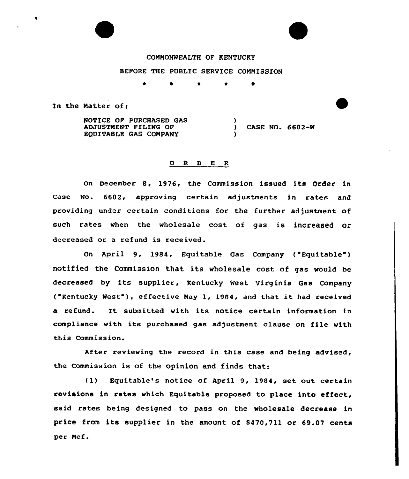## COMMONWEALTH OF KENTUCKY

BEFORE THE PUBLIC SERVICE COMMISSION

0 \* \*

)

)

In the Natter of:

 $\blacksquare$ 

NOTICE OF PURCHASED GAS ADJUSTMENT FILING OF EQUITABLE GAS COMPANY

) CASE NO, 6602-W

## O R D E R

on December 8, 1976, the Commission issued its Order in Case No. 6602, approving certain adjustments in rates and providing under certain conditions for the further adjustment of such rates when the wholesale cost of gas is increased or decreased or a refund is received.

On April 9, 1984, Equitable Gas Company ( Equitable" ) notified the Commission that its wholesale cost of gas would be decreased by its supplier, Kentucky Nest Virginia Gas Company ("Kentucky West"), effective May 1, 1984, and that it had received <sup>a</sup> refund. It submitted with its notice certain information in compliance with its purchased gas adjustment clause on file with this Commission.

After reviewing the record in this ease and being advised, the Commission is of the opinion and finds that:

(1) Equitable's notice of April 9, 1984, set out certain revisions in rates which Equitable proposed to place into effect, said rates being designed to pass on the wholesale decrease in price from its supplier in the amount of 8470,711 or 69.07 cents per Ncf.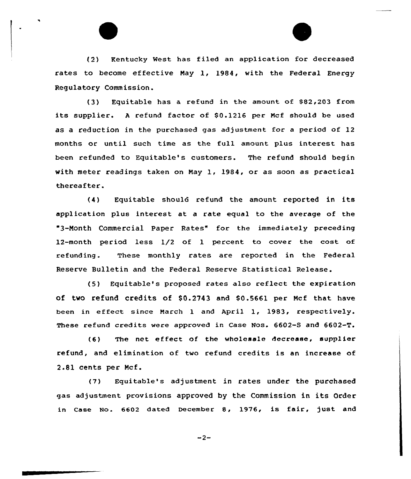(2) Kentucky Nest. has filed an application for decreased rates to become effective Nay 1, 1984, with the Federal Energy Regulatory Commission.

(3) Equitable has a refund in the amount of \$82 203 from its supplier. A refund factor of \$0.1216 per Mcf should be used as <sup>a</sup> reduction in the purchased gas adjustment for <sup>a</sup> period of 12 months or until such time as the full amount plus interest has been refunded to Equitable's customers. The refund should begin with meter readings taken on Nay 1, 1984, or as soon as practical thereafter.

(4) Equitable should refund the amount reported in its application plus interest at a rate equal to the average of the "3-Nonth Commercial Paper Rates" for the immediately preceding 12-month period less 1/2 of 1 percent to cover the cost of refunding. These monthly rates are reported in the Federal Reserve Bulletin and the Federal Reserve Statistical Release.

(5) Equitable's proposed rates also reflect the expiration of two refund credits of 80.2743 and \$0.5661 per Ncf that have been in effeet since March <sup>1</sup> and April 1, 1983, respectively. These refund credits were approved in Case Nos. 6602-S and 6602-T.

(6} The net effect of the wholesale decrease, supplier refund, and elimination of two refund credits is an increase of 2.81 cents per Ncf.

(7) Equitable's adjustment in rates under the purchased gas adjustment provisions approved by the Commission in its Order in Case No. 6602 dated December 8, 1976, is fair, just and

 $-2-$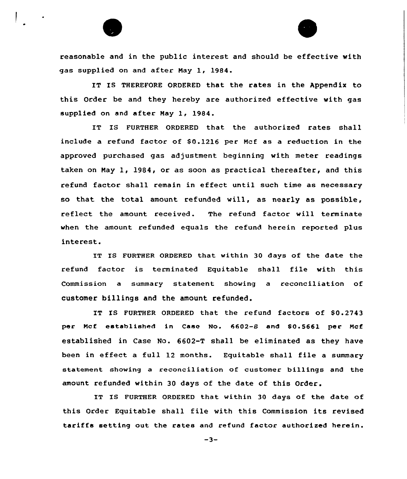

reasonable and in the public interest and should be effective with gas supplied on and after Nay 1, 1984.

IT IS THEREFORE ORDERED that the rates in the Appendix to this Order be and they hereby are authorized effective with gas supplied on and after Nay 1, 1984.

IT IS FURTHER ORDERED that the authorized rates shall include a refund factor of \$0.1216 per Mcf as a reduction in the approved purchased gas adjustment beginning with meter readings taken on Nay 1, 1984, or as soon as practical thereafter, and this refund factor shall remain in effect until such time as necessary so that the total amount refunded will, as nearly as possible, reflect the amount received. The refund factor will terminate when the amount refunded equals the refund herein reported plus interest.

IT IS FURTHER ORDERED that within 30 days of the date the refund factor is terminated Equitable shall file with this Commission a summary statement showing a reconciliation of customer billings and the amount refunded.

IT IS FURTHER ORDERED that the refund factors of \$0.2743 per Ncf established in Case No. 6602-8 and S0.5661 per Ncf established in Case No. 6602-T shall be eliminated as they have been in effect a full 12 months. Equitable shall file a summary statement showing a reconciliation of customer billings and the amount refunded within 30 days of the date of this Order.

IT IS FURTHER ORDERED that within 30 days of the date of this Order Equitable shall file with this Commission its revised tariffs setting out the rates and refund factor authorized herein.

 $-3-$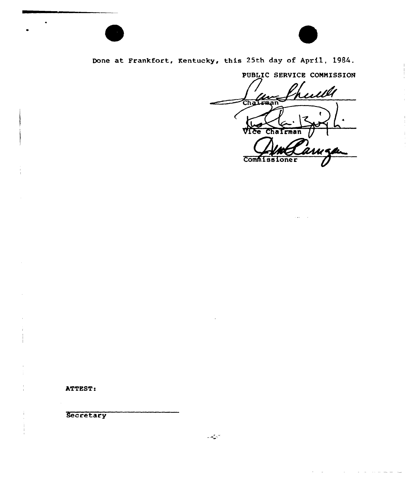



Done at Frankfort, Kentucky, this 25th day of April, 1984.

PUBLIC SERVICE COMMISSION ulli J Un Chairman **Tce Commissioner** 

ATTEST:

Secretary